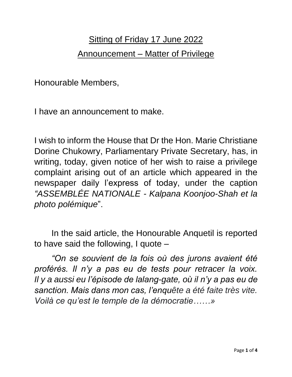## Sitting of Friday 17 June 2022 Announcement – Matter of Privilege

Honourable Members,

I have an announcement to make.

I wish to inform the House that Dr the Hon. Marie Christiane Dorine Chukowry, Parliamentary Private Secretary, has, in writing, today, given notice of her wish to raise a privilege complaint arising out of an article which appeared in the newspaper daily l'express of today, under the caption *"ASSEMBLÉE NATIONALE - Kalpana Koonjoo-Shah et la photo polémique*".

In the said article, the Honourable Anquetil is reported to have said the following, I quote –

*"On se souvient de la fois où des jurons avaient été proférés. Il n'y a pas eu de tests pour retracer la voix. Il y a aussi eu l'épisode de lalang-gate, où il n'y a pas eu de sanction. Mais dans mon cas, l'enquête a été faite très vite. Voilà ce qu'est le temple de la démocratie……»*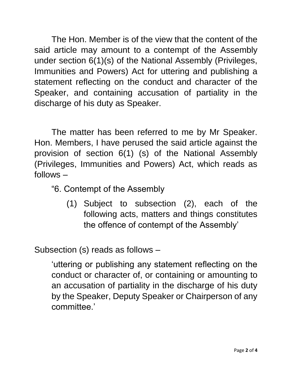The Hon. Member is of the view that the content of the said article may amount to a contempt of the Assembly under section 6(1)(s) of the National Assembly (Privileges, Immunities and Powers) Act for uttering and publishing a statement reflecting on the conduct and character of the Speaker, and containing accusation of partiality in the discharge of his duty as Speaker.

The matter has been referred to me by Mr Speaker. Hon. Members, I have perused the said article against the provision of section 6(1) (s) of the National Assembly (Privileges, Immunities and Powers) Act, which reads as follows –

- "6. Contempt of the Assembly
	- (1) Subject to subsection (2), each of the following acts, matters and things constitutes the offence of contempt of the Assembly'

Subsection (s) reads as follows –

'uttering or publishing any statement reflecting on the conduct or character of, or containing or amounting to an accusation of partiality in the discharge of his duty by the Speaker, Deputy Speaker or Chairperson of any committee.'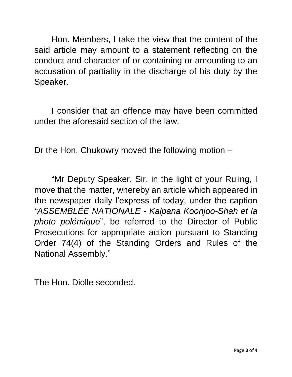Hon. Members, I take the view that the content of the said article may amount to a statement reflecting on the conduct and character of or containing or amounting to an accusation of partiality in the discharge of his duty by the Speaker.

I consider that an offence may have been committed under the aforesaid section of the law.

Dr the Hon. Chukowry moved the following motion –

"Mr Deputy Speaker, Sir, in the light of your Ruling, I move that the matter, whereby an article which appeared in the newspaper daily l'express of today, under the caption *"ASSEMBLÉE NATIONALE - Kalpana Koonjoo-Shah et la photo polémique*", be referred to the Director of Public Prosecutions for appropriate action pursuant to Standing Order 74(4) of the Standing Orders and Rules of the National Assembly."

The Hon. Diolle seconded.